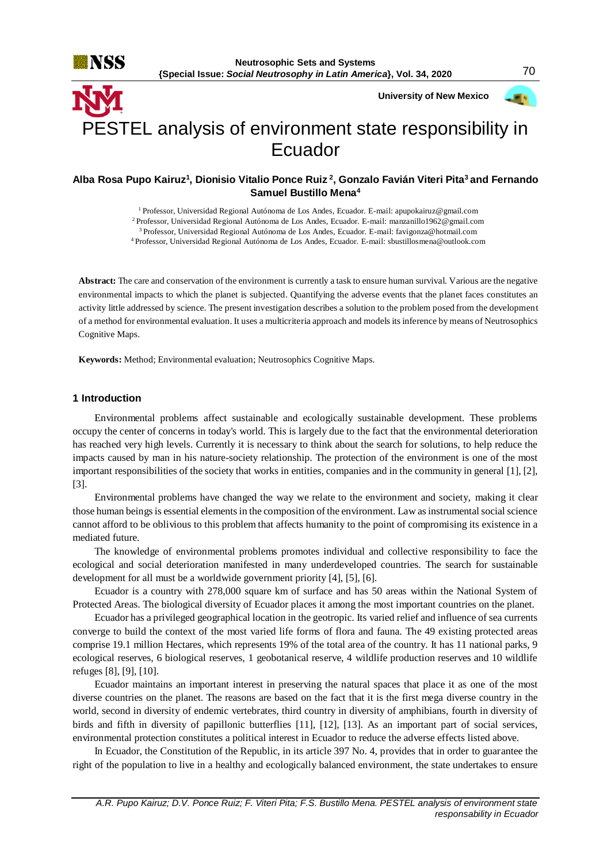

 **University of New Mexico**



# PESTEL analysis of environment state responsibility in Ecuador

## **Alba Rosa Pupo Kairuz<sup>1</sup> , Dionisio Vitalio Ponce Ruiz <sup>2</sup> , Gonzalo Favián Viteri Pita<sup>3</sup>and Fernando Samuel Bustillo Mena<sup>4</sup>**

<sup>1</sup> Professor, Universidad Regional Autónoma de Los Andes, Ecuador. E-mail[: apupokairuz@gmail.com](mailto:apupokairuz@gmail.com)

<sup>2</sup>Professor, Universidad Regional Autónoma de Los Andes, Ecuador. E-mail[: manzanillo1962@gmail.com](mailto:manzanillo1962@gmail.com)

<sup>3</sup>Professor, Universidad Regional Autónoma de Los Andes, Ecuador. E-mail: favigonza@hotmail.com

<sup>4</sup>Professor, Universidad Regional Autónoma de Los Andes, Ecuador. E-mail[: sbustillosmena@outlook.com](mailto:sbustillosmena@outlook.com)

**Abstract:** The care and conservation of the environment is currently a task to ensure human survival. Various are the negative environmental impacts to which the planet is subjected. Quantifying the adverse events that the planet faces constitutes an activity little addressed by science. The present investigation describes a solution to the problem posed from the development of a method for environmental evaluation. It uses a multicriteria approach and models its inference by means of Neutrosophics Cognitive Maps.

**Keywords:** Method; Environmental evaluation; Neutrosophics Cognitive Maps.

## **1 Introduction**

Environmental problems affect sustainable and ecologically sustainable development. These problems occupy the center of concerns in today's world. This is largely due to the fact that the environmental deterioration has reached very high levels. Currently it is necessary to think about the search for solutions, to help reduce the impacts caused by man in his nature-society relationship. The protection of the environment is one of the most important responsibilities of the society that works in entities, companies and in the community in general [1], [2], [3].

Environmental problems have changed the way we relate to the environment and society, making it clear those human beings is essential elements in the composition of the environment. Law as instrumental social science cannot afford to be oblivious to this problem that affects humanity to the point of compromising its existence in a mediated future.

The knowledge of environmental problems promotes individual and collective responsibility to face the ecological and social deterioration manifested in many underdeveloped countries. The search for sustainable development for all must be a worldwide government priority [4], [5], [6].

Ecuador is a country with 278,000 square km of surface and has 50 areas within the National System of Protected Areas. The biological diversity of Ecuador places it among the most important countries on the planet.

Ecuador has a privileged geographical location in the geotropic. Its varied relief and influence of sea currents converge to build the context of the most varied life forms of flora and fauna. The 49 existing protected areas comprise 19.1 million Hectares, which represents 19% of the total area of the country. It has 11 national parks, 9 ecological reserves, 6 biological reserves, 1 geobotanical reserve, 4 wildlife production reserves and 10 wildlife refuges [8], [9], [10].

Ecuador maintains an important interest in preserving the natural spaces that place it as one of the most diverse countries on the planet. The reasons are based on the fact that it is the first mega diverse country in the world, second in diversity of endemic vertebrates, third country in diversity of amphibians, fourth in diversity of birds and fifth in diversity of papillonic butterflies [11], [12], [13]. As an important part of social services, environmental protection constitutes a political interest in Ecuador to reduce the adverse effects listed above.

In Ecuador, the Constitution of the Republic, in its article 397 No. 4, provides that in order to guarantee the right of the population to live in a healthy and ecologically balanced environment, the state undertakes to ensure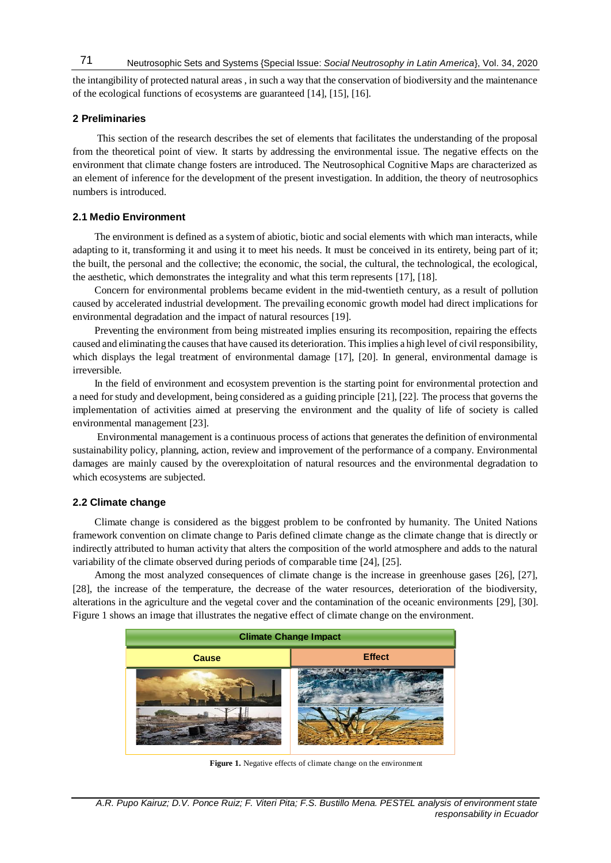the intangibility of protected natural areas , in such a way that the conservation of biodiversity and the maintenance of the ecological functions of ecosystems are guaranteed [14], [15], [16].

## **2 Preliminaries**

This section of the research describes the set of elements that facilitates the understanding of the proposal from the theoretical point of view. It starts by addressing the environmental issue. The negative effects on the environment that climate change fosters are introduced. The Neutrosophical Cognitive Maps are characterized as an element of inference for the development of the present investigation. In addition, the theory of neutrosophics numbers is introduced.

### **2.1 Medio Environment**

The environment is defined as a system of abiotic, biotic and social elements with which man interacts, while adapting to it, transforming it and using it to meet his needs. It must be conceived in its entirety, being part of it; the built, the personal and the collective; the economic, the social, the cultural, the technological, the ecological, the aesthetic, which demonstrates the integrality and what this term represents [17], [18].

Concern for environmental problems became evident in the mid-twentieth century, as a result of pollution caused by accelerated industrial development. The prevailing economic growth model had direct implications for environmental degradation and the impact of natural resources [19].

Preventing the environment from being mistreated implies ensuring its recomposition, repairing the effects caused and eliminating the causes that have caused its deterioration. This implies a high level of civil responsibility, which displays the legal treatment of environmental damage [17], [20]. In general, environmental damage is irreversible.

In the field of environment and ecosystem prevention is the starting point for environmental protection and a need for study and development, being considered as a guiding principle [21], [22]. The process that governs the implementation of activities aimed at preserving the environment and the quality of life of society is called environmental management [23].

Environmental management is a continuous process of actions that generates the definition of environmental sustainability policy, planning, action, review and improvement of the performance of a company. Environmental damages are mainly caused by the overexploitation of natural resources and the environmental degradation to which ecosystems are subjected.

## **2.2 Climate change**

Climate change is considered as the biggest problem to be confronted by humanity. The United Nations framework convention on climate change to Paris defined climate change as the climate change that is directly or indirectly attributed to human activity that alters the composition of the world atmosphere and adds to the natural variability of the climate observed during periods of comparable time [24], [25].

Among the most analyzed consequences of climate change is the increase in greenhouse gases [26], [27], [28], the increase of the temperature, the decrease of the water resources, deterioration of the biodiversity, alterations in the agriculture and the vegetal cover and the contamination of the oceanic environments [29], [30]. Figure 1 shows an image that illustrates the negative effect of climate change on the environment.



**Figure 1.** Negative effects of climate change on the environment

*A.R. Pupo Kairuz; D.V. Ponce Ruiz; F. Viteri Pita; F.S. Bustillo Mena. PESTEL analysis of environment state responsability in Ecuador*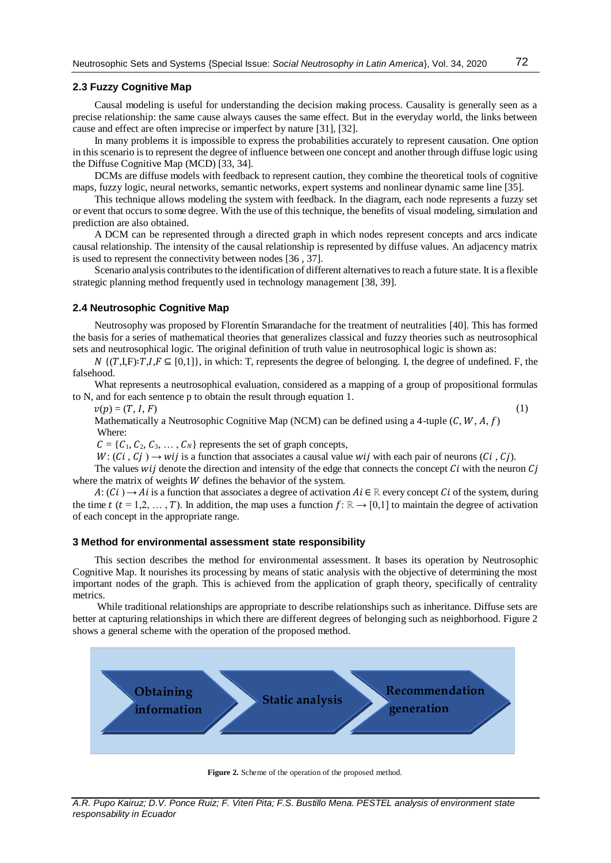## **2.3 Fuzzy Cognitive Map**

Causal modeling is useful for understanding the decision making process. Causality is generally seen as a precise relationship: the same cause always causes the same effect. But in the everyday world, the links between cause and effect are often imprecise or imperfect by nature [31], [\[32\]](#page-7-0).

In many problems it is impossible to express the probabilities accurately to represent causation. One option in this scenario is to represent the degree of influence between one concept and another through diffuse logic using the Diffuse Cognitive Map (MCD) [\[33,](#page-7-1) 34].

DCMs are diffuse models with feedback to represent caution, they combine the theoretical tools of cognitive maps, fuzzy logic, neural networks, semantic networks, expert systems and nonlinear dynamic same line [\[35\]](#page-7-2).

This technique allows modeling the system with feedback. In the diagram, each node represents a fuzzy set or event that occurs to some degree. With the use of this technique, the benefits of visual modeling, simulation and prediction are also obtained.

A DCM can be represented through a directed graph in which nodes represent concepts and arcs indicate causal relationship. The intensity of the causal relationship is represented by diffuse values. An adjacency matrix is used to represent the connectivity between nodes [\[36](#page-7-3) , [37\]](#page-7-4).

Scenario analysis contributes to the identification of different alternatives to reach a future state. It is a flexible strategic planning method frequently used in technology management [\[38,](#page-7-5) [39\]](#page-8-0).

### **2.4 Neutrosophic Cognitive Map**

Neutrosophy was proposed by Florentín Smarandache for the treatment of neutralities [\[40\]](#page-8-1). This has formed the basis for a series of mathematical theories that generalizes classical and fuzzy theories such as neutrosophical sets and neutrosophical logic. The original definition of truth value in neutrosophical logic is shown as:

 $N \{(T,I,F): T,I,F \subseteq [0,1]\}$ , in which: T, represents the degree of belonging. I, the degree of undefined. F, the falsehood.

What represents a neutrosophical evaluation, considered as a mapping of a group of propositional formulas to N, and for each sentence p to obtain the result through equation 1.

 $v(p) = (T, I, F)$  (1)

Mathematically a Neutrosophic Cognitive Map (NCM) can be defined using a 4-tuple  $(C, W, A, f)$ Where:

 $C = \{C_1, C_2, C_3, \ldots, C_N\}$  represents the set of graph concepts,

 $W: (Ci, Ci) \rightarrow wij$  is a function that associates a causal value wij with each pair of neurons  $(Ci, Ci)$ .

The values  $wij$  denote the direction and intensity of the edge that connects the concept  $Ci$  with the neuron  $Ci$ where the matrix of weights  $W$  defines the behavior of the system.

 $A: (C_i) \to A_i$  is a function that associates a degree of activation  $Ai \in \mathbb{R}$  every concept  $Ci$  of the system, during the time  $t$  ( $t = 1,2,...,T$ ). In addition, the map uses a function  $f: \mathbb{R} \to [0,1]$  to maintain the degree of activation of each concept in the appropriate range.

## **3 Method for environmental assessment state responsibility**

This section describes the method for environmental assessment. It bases its operation by Neutrosophic Cognitive Map. It nourishes its processing by means of static analysis with the objective of determining the most important nodes of the graph. This is achieved from the application of graph theory, specifically of centrality metrics.

While traditional relationships are appropriate to describe relationships such as inheritance. Diffuse sets are better at capturing relationships in which there are different degrees of belonging such as neighborhood. Figure 2 shows a general scheme with the operation of the proposed method.



**Figure 2.** Scheme of the operation of the proposed method.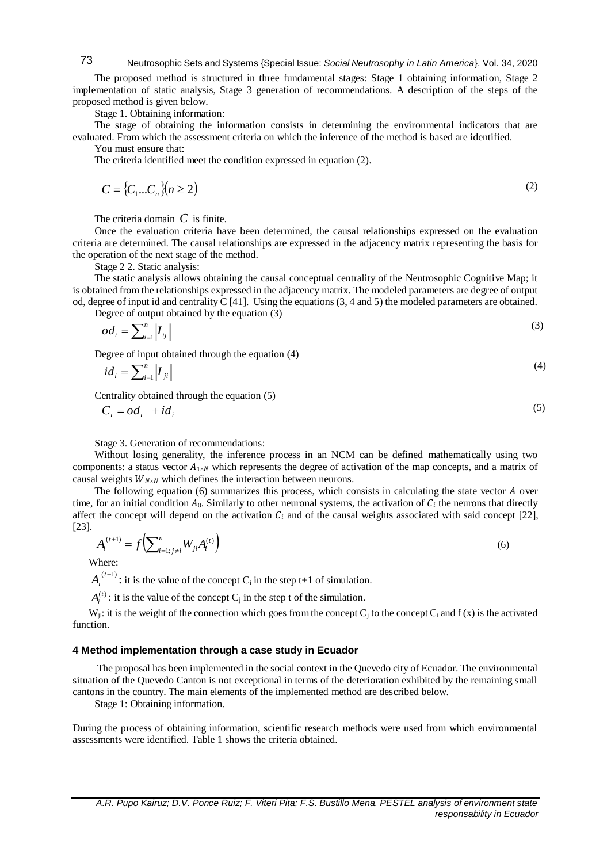The proposed method is structured in three fundamental stages: Stage 1 obtaining information, Stage 2 implementation of static analysis, Stage 3 generation of recommendations. A description of the steps of the proposed method is given below.

Stage 1. Obtaining information:

The stage of obtaining the information consists in determining the environmental indicators that are evaluated. From which the assessment criteria on which the inference of the method is based are identified. You must ensure that:

The criteria identified meet the condition expressed in equation (2).

$$
C = \{C_1...C_n\}(n \ge 2) \tag{2}
$$

The criteria domain *C* is finite.

Once the evaluation criteria have been determined, the causal relationships expressed on the evaluation criteria are determined. The causal relationships are expressed in the adjacency matrix representing the basis for the operation of the next stage of the method.

Stage 2 2. Static analysis:

The static analysis allows obtaining the causal conceptual centrality of the Neutrosophic Cognitive Map; it is obtained from the relationships expressed in the adjacency matrix. The modeled parameters are degree of output od, degree of input id and centrality C [\[41\]](#page-8-2). Using the equations (3, 4 and 5) the modeled parameters are obtained.

Degree of output obtained by the equation (3)

$$
od_i = \sum_{i=1}^n \left\| I_{ij} \right\| \tag{3}
$$

Degree of input obtained through the equation (4)

$$
id_i = \sum_{i=1}^n \left\| I_{ji} \right\| \tag{4}
$$

Centrality obtained through the equation (5)

$$
C_i = od_i + id_i \tag{5}
$$

Stage 3. Generation of recommendations:

Without losing generality, the inference process in an NCM can be defined mathematically using two components: a status vector  $A_{1\times N}$  which represents the degree of activation of the map concepts, and a matrix of causal weights  $W_{N\times N}$  which defines the interaction between neurons.

The following equation  $(6)$  summarizes this process, which consists in calculating the state vector  $A$  over time, for an initial condition  $A_0$ . Similarly to other neuronal systems, the activation of  $C_i$  the neurons that directly affect the concept will depend on the activation  $C_i$  and of the causal weights associated with said concept [22], [23].

$$
A_i^{(t+1)} = f\left(\sum_{i=1; j \neq i}^n W_{ji} A_i^{(t)}\right)
$$
 (6)

Where:

 $A_i^{(t+1)}$ : it is the value of the concept C<sub>i</sub> in the step t+1 of simulation.

 $A_i^{(t)}$ : it is the value of the concept C<sub>j</sub> in the step t of the simulation.

W<sub>ii</sub>: it is the weight of the connection which goes from the concept C<sub>i</sub> to the concept C<sub>i</sub> and f (x) is the activated function.

#### **4 Method implementation through a case study in Ecuador**

The proposal has been implemented in the social context in the Quevedo city of Ecuador. The environmental situation of the Quevedo Canton is not exceptional in terms of the deterioration exhibited by the remaining small cantons in the country. The main elements of the implemented method are described below.

Stage 1: Obtaining information.

During the process of obtaining information, scientific research methods were used from which environmental assessments were identified. Table 1 shows the criteria obtained.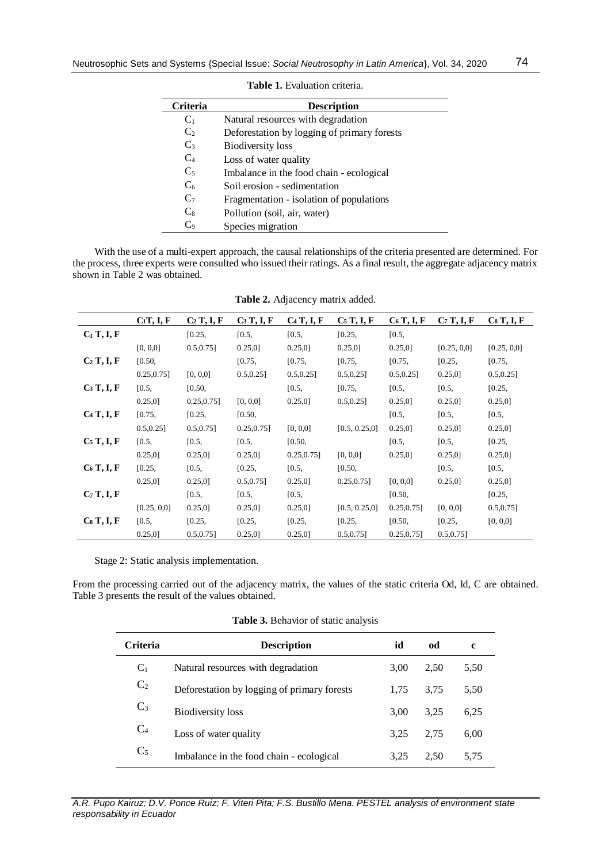| <b>Criteria</b> | <b>Description</b>                          |  |  |  |  |
|-----------------|---------------------------------------------|--|--|--|--|
| $C_1$           | Natural resources with degradation          |  |  |  |  |
| C <sub>2</sub>  | Deforestation by logging of primary forests |  |  |  |  |
| $C_3$           | <b>Biodiversity</b> loss                    |  |  |  |  |
| $C_4$           | Loss of water quality                       |  |  |  |  |
| $C_5$           | Imbalance in the food chain - ecological    |  |  |  |  |
| $C_6$           | Soil erosion - sedimentation                |  |  |  |  |
| C <sub>7</sub>  | Fragmentation - isolation of populations    |  |  |  |  |
| $C_8$           | Pollution (soil, air, water)                |  |  |  |  |
| C0              | Species migration                           |  |  |  |  |

**Table 1.** Evaluation criteria.

With the use of a multi-expert approach, the causal relationships of the criteria presented are determined. For the process, three experts were consulted who issued their ratings. As a final result, the aggregate adjacency matrix shown in Table 2 was obtained.

|               | $C_1T, I, F$   | $C_2$ T, I, F  | $C_3$ T, I, F  | $C_4$ T, I, F  | $C_5$ T, I, F  | $C_6$ T, I, F  | $C_7$ T, I, F | $Cs$ T, I, F  |
|---------------|----------------|----------------|----------------|----------------|----------------|----------------|---------------|---------------|
| $C_1$ T, I, F |                | [0.25,         | [0.5,          | [0.5,          | [0.25,         | [0.5,          |               |               |
|               | [0, 0, 0]      | $0.5, 0.75$ ]  | $0.25,0$ ]     | $0.25,0$ ]     | 0.25.0         | 0.25,0         | [0.25, 0.0]   | [0.25, 0.0]   |
| $C2$ T, I, F  | [0.50,         |                | [0.75,         | [0.75,         | [0.75,         | [0.75,         | [0.25,        | [0.75,        |
|               | $0.25, 0.75$ ] | [0, 0, 0]      | $0.5, 0.25$ ]  | $0.5, 0.25$ ]  | $0.5, 0.25$ ]  | $0.5, 0.25$ ]  | $0.25,0$ ]    | $0.5, 0.25$ ] |
| $C_3$ T, I, F | [0.5,          | [0.50,         |                | [0.5,          | [0.75,         | [0.5,          | [0.5,         | [0.25,        |
|               | $0.25,0$ ]     | $0.25, 0.75$ ] | [0, 0, 0]      | $0.25,0$ ]     | $0.5, 0.25$ ]  | $0.25,0$ ]     | $0.25,0$ ]    | $0.25,0$ ]    |
| $C_4$ T, I, F | [0.75,         | [0.25,         | [0.50,         |                |                | [0.5,          | [0.5,         | [0.5,         |
|               | $0.5, 0.25$ ]  | $0.5, 0.75$ ]  | $0.25, 0.75$ ] | [0, 0, 0]      | [0.5, 0.25, 0] | $0.25,0$ ]     | $0.25,0$ ]    | $0.25,0$ ]    |
| $C5$ T, I, F  | [0.5,          | [0.5,          | [0.5,          | [0.50,         |                | [0.5,          | [0.5,         | [0.25,        |
|               | $0.25,0$ ]     | 0.25,0]        | $0.25,0$ ]     | $0.25, 0.75$ ] | [0, 0, 0]      | $0.25,0$ ]     | $0.25,0$ ]    | $0.25,0$ ]    |
| $C_6$ T, I, F | [0.25,         | [0.5,          | [0.25,         | [0.5,          | [0.50,         |                | [0.5,         | [0.5,         |
|               | $0.25,0$ ]     | $0.25,0$ ]     | $0.5, 0.75$ ]  | $0.25,0$ ]     | $0.25, 0.75$ ] | [0, 0, 0]      | $0.25,0$ ]    | $0.25,0$ ]    |
| $C_7$ T, I, F |                | [0.5,          | [0.5,          | [0.5,          |                | [0.50,         |               | [0.25,        |
|               | [0.25, 0.0]    | $0.25,0$ ]     | $0.25,0$ ]     | $0.25,0$ ]     | [0.5, 0.25, 0] | $0.25, 0.75$ ] | [0, 0, 0]     | $0.5, 0.75$ ] |
| CsT, I, F     | [0.5,          | [0.25,         | [0.25,         | [0.25,         | [0.25,         | [0.50,         | [0.25,        | [0, 0, 0]     |
|               | $0.25,0$ ]     | $0.5, 0.75$ ]  | $0.25,0$ ]     | $0.25,0$ ]     | $0.5, 0.75$ ]  | $0.25, 0.75$ ] | $0.5, 0.75$ ] |               |

**Table 2.** Adjacency matrix added.

Stage 2: Static analysis implementation.

From the processing carried out of the adjacency matrix, the values of the static criteria Od, Id, C are obtained. Table 3 presents the result of the values obtained.

|  | Table 3. Behavior of static analysis |  |  |  |  |
|--|--------------------------------------|--|--|--|--|
|--|--------------------------------------|--|--|--|--|

| <b>Criteria</b> | <b>Description</b>                          | id   | od   | c    |
|-----------------|---------------------------------------------|------|------|------|
| $C_1$           | Natural resources with degradation          | 3.00 | 2.50 | 5.50 |
| C <sub>2</sub>  | Deforestation by logging of primary forests | 1.75 | 3.75 | 5,50 |
| $C_3$           | <b>Biodiversity</b> loss                    | 3.00 | 3.25 | 6.25 |
| C <sub>4</sub>  | Loss of water quality                       | 3.25 | 2.75 | 6.00 |
| C <sub>5</sub>  | Imbalance in the food chain - ecological    | 3.25 | 2.50 | 5,75 |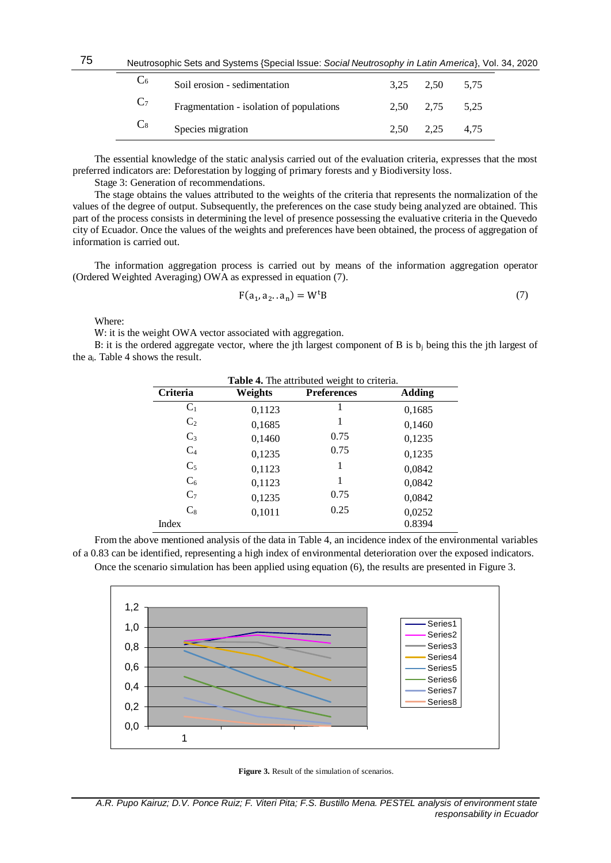| Ũ6             | Soil erosion - sedimentation             | 3.25 2.50     | 5.75 |  |
|----------------|------------------------------------------|---------------|------|--|
| $C_7$          | Fragmentation - isolation of populations | 2.50 2.75     | 5,25 |  |
| $\mathbb{C}_8$ | Species migration                        | $2,50$ $2,25$ | 4.75 |  |

The essential knowledge of the static analysis carried out of the evaluation criteria, expresses that the most preferred indicators are: Deforestation by logging of primary forests and y Biodiversity loss.

Stage 3: Generation of recommendations.

The stage obtains the values attributed to the weights of the criteria that represents the normalization of the values of the degree of output. Subsequently, the preferences on the case study being analyzed are obtained. This part of the process consists in determining the level of presence possessing the evaluative criteria in the Quevedo city of Ecuador. Once the values of the weights and preferences have been obtained, the process of aggregation of information is carried out.

The information aggregation process is carried out by means of the information aggregation operator (Ordered Weighted Averaging) OWA as expressed in equation (7).

$$
F(a_1, a_2 \dots a_n) = W^t B \tag{7}
$$

Where:

75

W: it is the weight OWA vector associated with aggregation.

B: it is the ordered aggregate vector, where the jth largest component of B is  $b_i$  being this the jth largest of the ai. Table 4 shows the result.

| Table 4. The attributed weight to criteria. |         |                    |        |  |  |
|---------------------------------------------|---------|--------------------|--------|--|--|
| Criteria                                    | Weights | <b>Preferences</b> | Adding |  |  |
| $C_1$                                       | 0,1123  |                    | 0,1685 |  |  |
| C <sub>2</sub>                              | 0,1685  | 1                  | 0,1460 |  |  |
| $C_3$                                       | 0,1460  | 0.75               | 0,1235 |  |  |
| $C_4$                                       | 0,1235  | 0.75               | 0,1235 |  |  |
| $C_5$                                       | 0,1123  | 1                  | 0,0842 |  |  |
| $C_6$                                       | 0,1123  | 1                  | 0,0842 |  |  |
| $C_7$                                       | 0,1235  | 0.75               | 0,0842 |  |  |
| $C_8$                                       | 0,1011  | 0.25               | 0,0252 |  |  |
| Index                                       |         |                    | 0.8394 |  |  |

From the above mentioned analysis of the data in Table 4, an incidence index of the environmental variables of a 0.83 can be identified, representing a high index of environmental deterioration over the exposed indicators. Once the scenario simulation has been applied using equation (6), the results are presented in Figure 3.



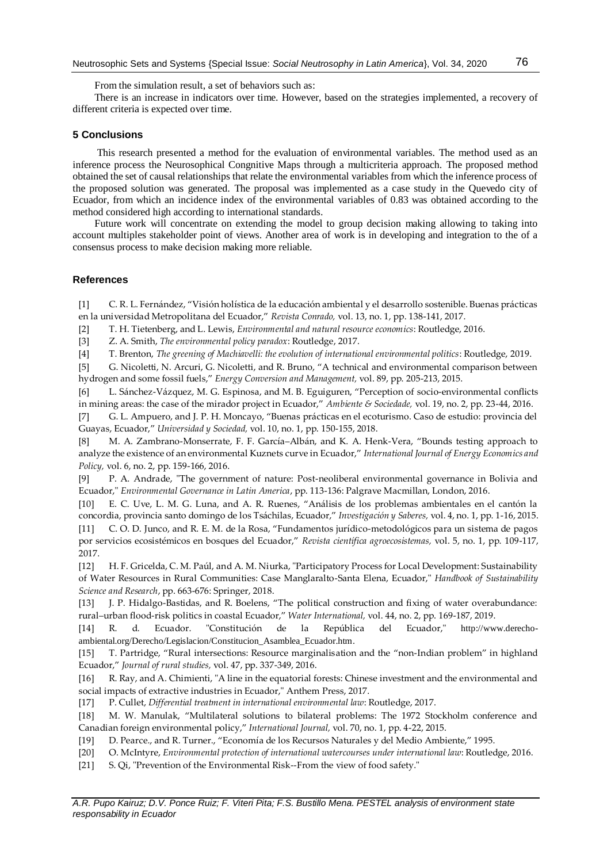From the simulation result, a set of behaviors such as:

There is an increase in indicators over time. However, based on the strategies implemented, a recovery of different criteria is expected over time.

#### **5 Conclusions**

This research presented a method for the evaluation of environmental variables. The method used as an inference process the Neurosophical Congnitive Maps through a multicriteria approach. The proposed method obtained the set of causal relationships that relate the environmental variables from which the inference process of the proposed solution was generated. The proposal was implemented as a case study in the Quevedo city of Ecuador, from which an incidence index of the environmental variables of 0.83 was obtained according to the method considered high according to international standards.

Future work will concentrate on extending the model to group decision making allowing to taking into account multiples stakeholder point of views. Another area of work is in developing and integration to the of a consensus process to make decision making more reliable.

## **References**

[1] C. R. L. Fernández, "Visión holística de la educación ambiental y el desarrollo sostenible. Buenas prácticas en la universidad Metropolitana del Ecuador," *Revista Conrado,* vol. 13, no. 1, pp. 138-141, 2017.

[2] T. H. Tietenberg, and L. Lewis, *Environmental and natural resource economics*: Routledge, 2016.

[3] Z. A. Smith, *The environmental policy paradox*: Routledge, 2017.

[4] T. Brenton, *The greening of Machiavelli: the evolution of international environmental politics*: Routledge, 2019.

[5] G. Nicoletti, N. Arcuri, G. Nicoletti, and R. Bruno, "A technical and environmental comparison between hydrogen and some fossil fuels," *Energy Conversion and Management,* vol. 89, pp. 205-213, 2015.

[6] L. Sánchez-Vázquez, M. G. Espinosa, and M. B. Eguiguren, "Perception of socio-environmental conflicts in mining areas: the case of the mirador project in Ecuador," *Ambiente & Sociedade,* vol. 19, no. 2, pp. 23-44, 2016.

[7] G. L. Ampuero, and J. P. H. Moncayo, "Buenas prácticas en el ecoturismo. Caso de estudio: provincia del Guayas, Ecuador," *Universidad y Sociedad,* vol. 10, no. 1, pp. 150-155, 2018.

[8] M. A. Zambrano-Monserrate, F. F. García–Albán, and K. A. Henk-Vera, "Bounds testing approach to analyze the existence of an environmental Kuznets curve in Ecuador," *International Journal of Energy Economics and Policy,* vol. 6, no. 2, pp. 159-166, 2016.

[9] P. A. Andrade, "The government of nature: Post-neoliberal environmental governance in Bolivia and Ecuador," *Environmental Governance in Latin America*, pp. 113-136: Palgrave Macmillan, London, 2016.

[10] E. C. Uve, L. M. G. Luna, and A. R. Ruenes, "Análisis de los problemas ambientales en el cantón la concordia, provincia santo domingo de los Tsáchilas, Ecuador," *Investigación y Saberes,* vol. 4, no. 1, pp. 1-16, 2015.

[11] C. O. D. Junco, and R. E. M. de la Rosa, "Fundamentos jurídico-metodológicos para un sistema de pagos por servicios ecosistémicos en bosques del Ecuador," *Revista científica agroecosistemas,* vol. 5, no. 1, pp. 109-117, 2017.

[12] H. F. Gricelda, C. M. Paúl, and A. M. Niurka, "Participatory Process for Local Development: Sustainability of Water Resources in Rural Communities: Case Manglaralto-Santa Elena, Ecuador," *Handbook of Sustainability Science and Research*, pp. 663-676: Springer, 2018.

[13] J. P. Hidalgo-Bastidas, and R. Boelens, "The political construction and fixing of water overabundance: rural–urban flood-risk politics in coastal Ecuador," *Water International,* vol. 44, no. 2, pp. 169-187, 2019.

[14] R. d. Ecuador. "Constitución de la República del Ecuador," [http://www.derecho](http://www.derecho-ambiental.org/Derecho/Legislacion/Constitucion_Asamblea_Ecuador.htm)[ambiental.org/Derecho/Legislacion/Constitucion\\_Asamblea\\_Ecuador.htm](http://www.derecho-ambiental.org/Derecho/Legislacion/Constitucion_Asamblea_Ecuador.htm).

[15] T. Partridge, "Rural intersections: Resource marginalisation and the "non-Indian problem" in highland Ecuador," *Journal of rural studies,* vol. 47, pp. 337-349, 2016.

[16] R. Ray, and A. Chimienti, "A line in the equatorial forests: Chinese investment and the environmental and social impacts of extractive industries in Ecuador," Anthem Press, 2017.

[17] P. Cullet, *Differential treatment in international environmental law*: Routledge, 2017.

[18] M. W. Manulak, "Multilateral solutions to bilateral problems: The 1972 Stockholm conference and Canadian foreign environmental policy," *International Journal,* vol. 70, no. 1, pp. 4-22, 2015.

[19] D. Pearce., and R. Turner., "Economía de los Recursos Naturales y del Medio Ambiente," 1995.

[20] O. McIntyre, *Environmental protection of international watercourses under international law*: Routledge, 2016.

[21] S. Qi, "Prevention of the Environmental Risk--From the view of food safety."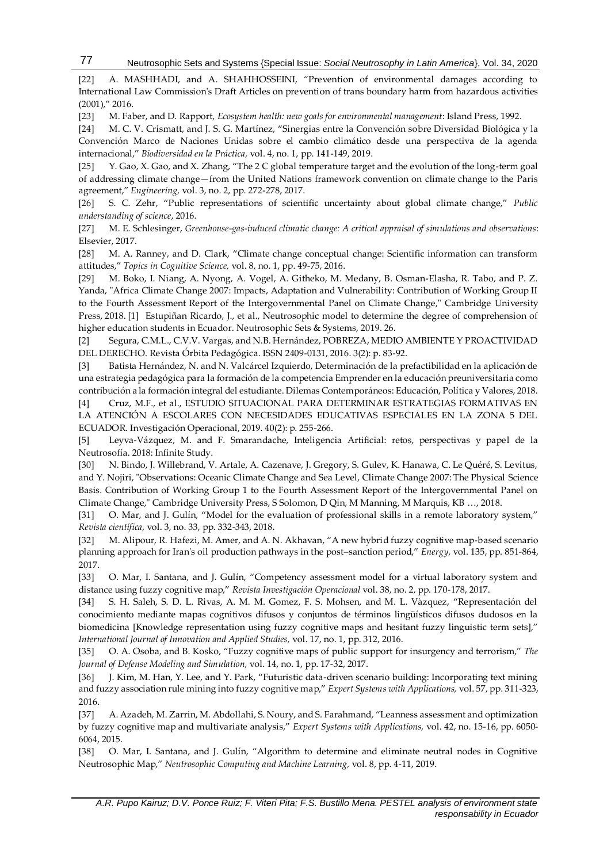Neutrosophic Sets and Systems {Special Issue: *Social Neutrosophy in Latin America*}, Vol. 34, 2020

[22] A. MASHHADI, and A. SHAHHOSSEINI, "Prevention of environmental damages according to International Law Commission's Draft Articles on prevention of trans boundary harm from hazardous activities (2001)," 2016.

[23] M. Faber, and D. Rapport, *Ecosystem health: new goals for environmental management*: Island Press, 1992.

77

[24] M. C. V. Crismatt, and J. S. G. Martínez, "Sinergias entre la Convención sobre Diversidad Biológica y la Convención Marco de Naciones Unidas sobre el cambio climático desde una perspectiva de la agenda internacional," *Biodiversidad en la Práctica,* vol. 4, no. 1, pp. 141-149, 2019.

[25] Y. Gao, X. Gao, and X. Zhang, "The 2 C global temperature target and the evolution of the long-term goal of addressing climate change—from the United Nations framework convention on climate change to the Paris agreement," *Engineering,* vol. 3, no. 2, pp. 272-278, 2017.

[26] S. C. Zehr, "Public representations of scientific uncertainty about global climate change," *Public understanding of science*, 2016.

[27] M. E. Schlesinger, *Greenhouse-gas-induced climatic change: A critical appraisal of simulations and observations*: Elsevier, 2017.

[28] M. A. Ranney, and D. Clark, "Climate change conceptual change: Scientific information can transform attitudes," *Topics in Cognitive Science,* vol. 8, no. 1, pp. 49-75, 2016.

[29] M. Boko, I. Niang, A. Nyong, A. Vogel, A. Githeko, M. Medany, B. Osman-Elasha, R. Tabo, and P. Z. Yanda, "Africa Climate Change 2007: Impacts, Adaptation and Vulnerability: Contribution of Working Group II to the Fourth Assessment Report of the Intergovernmental Panel on Climate Change," Cambridge University Press, 2018. [1] Estupiñan Ricardo, J., et al., Neutrosophic model to determine the degree of comprehension of higher education students in Ecuador. Neutrosophic Sets & Systems, 2019. 26.

[2] Segura, C.M.L., C.V.V. Vargas, and N.B. Hernández, POBREZA, MEDIO AMBIENTE Y PROACTIVIDAD DEL DERECHO. Revista Órbita Pedagógica. ISSN 2409-0131, 2016. 3(2): p. 83-92.

[3] Batista Hernández, N. and N. Valcárcel Izquierdo, Determinación de la prefactibilidad en la aplicación de una estrategia pedagógica para la formación de la competencia Emprender en la educación preuniversitaria como contribución a la formación integral del estudiante. Dilemas Contemporáneos: Educación, Política y Valores, 2018.

[4] Cruz, M.F., et al., ESTUDIO SITUACIONAL PARA DETERMINAR ESTRATEGIAS FORMATIVAS EN LA ATENCIÓN A ESCOLARES CON NECESIDADES EDUCATIVAS ESPECIALES EN LA ZONA 5 DEL ECUADOR. Investigación Operacional, 2019. 40(2): p. 255-266.

[5] Leyva-Vázquez, M. and F. Smarandache, Inteligencia Artificial: retos, perspectivas y papel de la Neutrosofía. 2018: Infinite Study.

[30] N. Bindo, J. Willebrand, V. Artale, A. Cazenave, J. Gregory, S. Gulev, K. Hanawa, C. Le Quéré, S. Levitus, and Y. Nojiri, "Observations: Oceanic Climate Change and Sea Level, Climate Change 2007: The Physical Science Basis. Contribution of Working Group 1 to the Fourth Assessment Report of the Intergovernmental Panel on Climate Change," Cambridge University Press, S Solomon, D Qin, M Manning, M Marquis, KB …, 2018.

[31] O. Mar, and J. Gulín, "Model for the evaluation of professional skills in a remote laboratory system," *Revista científica,* vol. 3, no. 33, pp. 332-343, 2018.

<span id="page-7-0"></span>[32] M. Alipour, R. Hafezi, M. Amer, and A. N. Akhavan, "A new hybrid fuzzy cognitive map-based scenario planning approach for Iran's oil production pathways in the post–sanction period," *Energy,* vol. 135, pp. 851-864, 2017.

<span id="page-7-1"></span>[33] O. Mar, I. Santana, and J. Gulín, "Competency assessment model for a virtual laboratory system and distance using fuzzy cognitive map," *Revista Investigación Operacional* vol. 38, no. 2, pp. 170-178, 2017.

[34] S. H. Saleh, S. D. L. Rivas, A. M. M. Gomez, F. S. Mohsen, and M. L. Vàzquez, "Representación del conocimiento mediante mapas cognitivos difusos y conjuntos de términos lingüísticos difusos dudosos en la biomedicina [Knowledge representation using fuzzy cognitive maps and hesitant fuzzy linguistic term sets]," *International Journal of Innovation and Applied Studies,* vol. 17, no. 1, pp. 312, 2016.

<span id="page-7-2"></span>[35] O. A. Osoba, and B. Kosko, "Fuzzy cognitive maps of public support for insurgency and terrorism," *The Journal of Defense Modeling and Simulation,* vol. 14, no. 1, pp. 17-32, 2017.

<span id="page-7-3"></span>[36] J. Kim, M. Han, Y. Lee, and Y. Park, "Futuristic data-driven scenario building: Incorporating text mining and fuzzy association rule mining into fuzzy cognitive map," *Expert Systems with Applications,* vol. 57, pp. 311-323, 2016.

<span id="page-7-4"></span>[37] A. Azadeh, M. Zarrin, M. Abdollahi, S. Noury, and S. Farahmand, "Leanness assessment and optimization by fuzzy cognitive map and multivariate analysis," *Expert Systems with Applications,* vol. 42, no. 15-16, pp. 6050- 6064, 2015.

<span id="page-7-5"></span>[38] O. Mar, I. Santana, and J. Gulín, "Algorithm to determine and eliminate neutral nodes in Cognitive Neutrosophic Map," *Neutrosophic Computing and Machine Learning,* vol. 8, pp. 4-11, 2019.